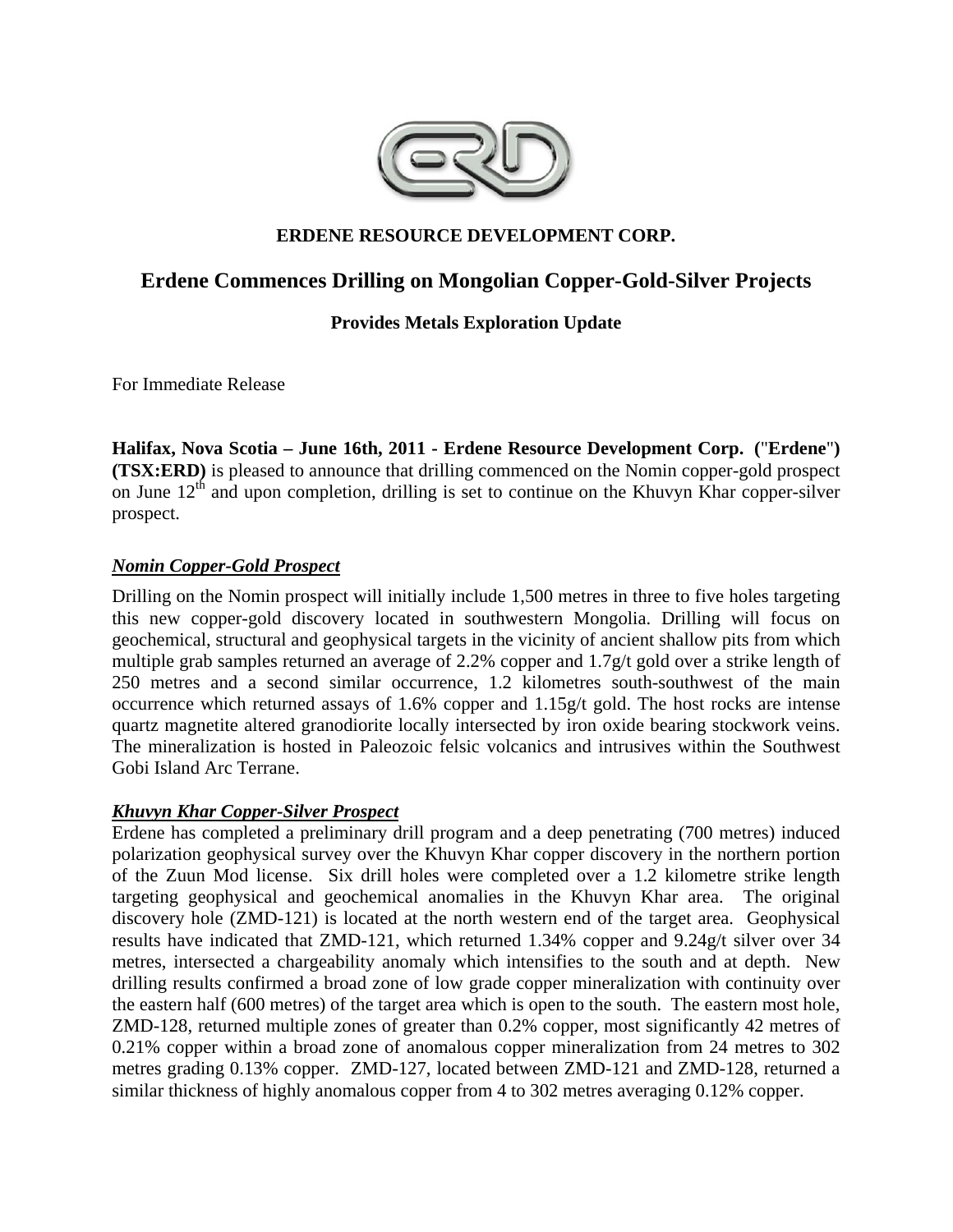

# **ERDENE RESOURCE DEVELOPMENT CORP.**

# **Erdene Commences Drilling on Mongolian Copper-Gold-Silver Projects**

# **Provides Metals Exploration Update**

For Immediate Release

**Halifax, Nova Scotia – June 16th, 2011 - Erdene Resource Development Corp. (**"**Erdene**"**) (TSX:ERD)** is pleased to announce that drilling commenced on the Nomin copper-gold prospect on June  $12<sup>th</sup>$  and upon completion, drilling is set to continue on the Khuvyn Khar copper-silver prospect.

## *Nomin Copper-Gold Prospect*

Drilling on the Nomin prospect will initially include 1,500 metres in three to five holes targeting this new copper-gold discovery located in southwestern Mongolia. Drilling will focus on geochemical, structural and geophysical targets in the vicinity of ancient shallow pits from which multiple grab samples returned an average of 2.2% copper and 1.7g/t gold over a strike length of 250 metres and a second similar occurrence, 1.2 kilometres south-southwest of the main occurrence which returned assays of 1.6% copper and 1.15g/t gold. The host rocks are intense quartz magnetite altered granodiorite locally intersected by iron oxide bearing stockwork veins. The mineralization is hosted in Paleozoic felsic volcanics and intrusives within the Southwest Gobi Island Arc Terrane.

### *Khuvyn Khar Copper-Silver Prospect*

Erdene has completed a preliminary drill program and a deep penetrating (700 metres) induced polarization geophysical survey over the Khuvyn Khar copper discovery in the northern portion of the Zuun Mod license. Six drill holes were completed over a 1.2 kilometre strike length targeting geophysical and geochemical anomalies in the Khuvyn Khar area. The original discovery hole (ZMD-121) is located at the north western end of the target area. Geophysical results have indicated that ZMD-121, which returned 1.34% copper and 9.24g/t silver over 34 metres, intersected a chargeability anomaly which intensifies to the south and at depth. New drilling results confirmed a broad zone of low grade copper mineralization with continuity over the eastern half (600 metres) of the target area which is open to the south. The eastern most hole, ZMD-128, returned multiple zones of greater than 0.2% copper, most significantly 42 metres of 0.21% copper within a broad zone of anomalous copper mineralization from 24 metres to 302 metres grading 0.13% copper. ZMD-127, located between ZMD-121 and ZMD-128, returned a similar thickness of highly anomalous copper from 4 to 302 metres averaging 0.12% copper.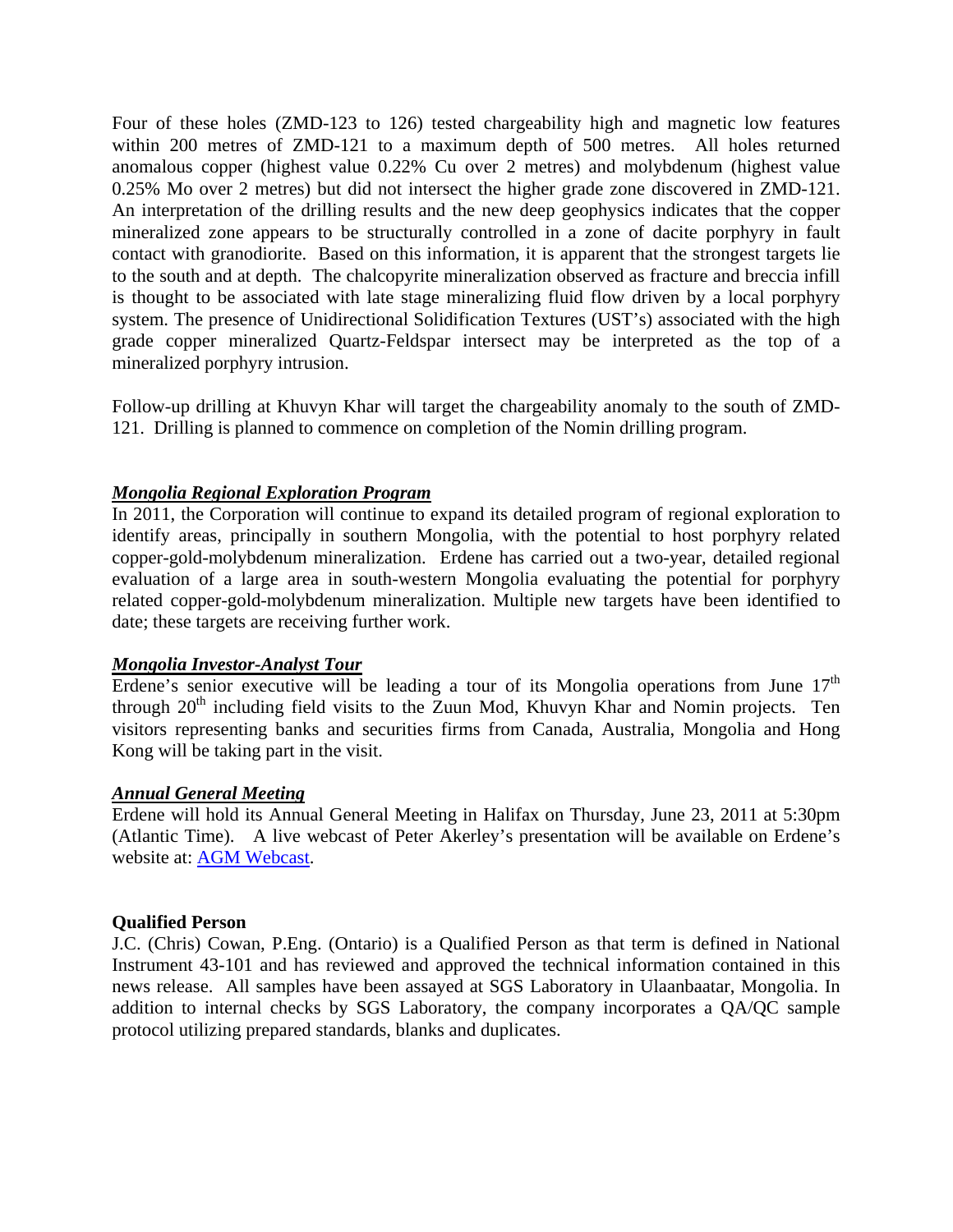Four of these holes (ZMD-123 to 126) tested chargeability high and magnetic low features within 200 metres of ZMD-121 to a maximum depth of 500 metres. All holes returned anomalous copper (highest value 0.22% Cu over 2 metres) and molybdenum (highest value 0.25% Mo over 2 metres) but did not intersect the higher grade zone discovered in ZMD-121. An interpretation of the drilling results and the new deep geophysics indicates that the copper mineralized zone appears to be structurally controlled in a zone of dacite porphyry in fault contact with granodiorite. Based on this information, it is apparent that the strongest targets lie to the south and at depth. The chalcopyrite mineralization observed as fracture and breccia infill is thought to be associated with late stage mineralizing fluid flow driven by a local porphyry system. The presence of Unidirectional Solidification Textures (UST's) associated with the high grade copper mineralized Quartz-Feldspar intersect may be interpreted as the top of a mineralized porphyry intrusion.

Follow-up drilling at Khuvyn Khar will target the chargeability anomaly to the south of ZMD-121. Drilling is planned to commence on completion of the Nomin drilling program.

#### *Mongolia Regional Exploration Program*

In 2011, the Corporation will continue to expand its detailed program of regional exploration to identify areas, principally in southern Mongolia, with the potential to host porphyry related copper-gold-molybdenum mineralization. Erdene has carried out a two-year, detailed regional evaluation of a large area in south-western Mongolia evaluating the potential for porphyry related copper-gold-molybdenum mineralization. Multiple new targets have been identified to date; these targets are receiving further work.

#### *Mongolia Investor-Analyst Tour*

Erdene's senior executive will be leading a tour of its Mongolia operations from June  $17<sup>th</sup>$ through  $20<sup>th</sup>$  including field visits to the Zuun Mod, Khuvyn Khar and Nomin projects. Ten visitors representing banks and securities firms from Canada, Australia, Mongolia and Hong Kong will be taking part in the visit.

#### *Annual General Meeting*

Erdene will hold its Annual General Meeting in Halifax on Thursday, June 23, 2011 at 5:30pm (Atlantic Time). A live webcast of Peter Akerley's presentation will be available on Erdene's website at: AGM Webcast.

#### **Qualified Person**

J.C. (Chris) Cowan, P.Eng. (Ontario) is a Qualified Person as that term is defined in National Instrument 43-101 and has reviewed and approved the technical information contained in this news release. All samples have been assayed at SGS Laboratory in Ulaanbaatar, Mongolia. In addition to internal checks by SGS Laboratory, the company incorporates a QA/QC sample protocol utilizing prepared standards, blanks and duplicates.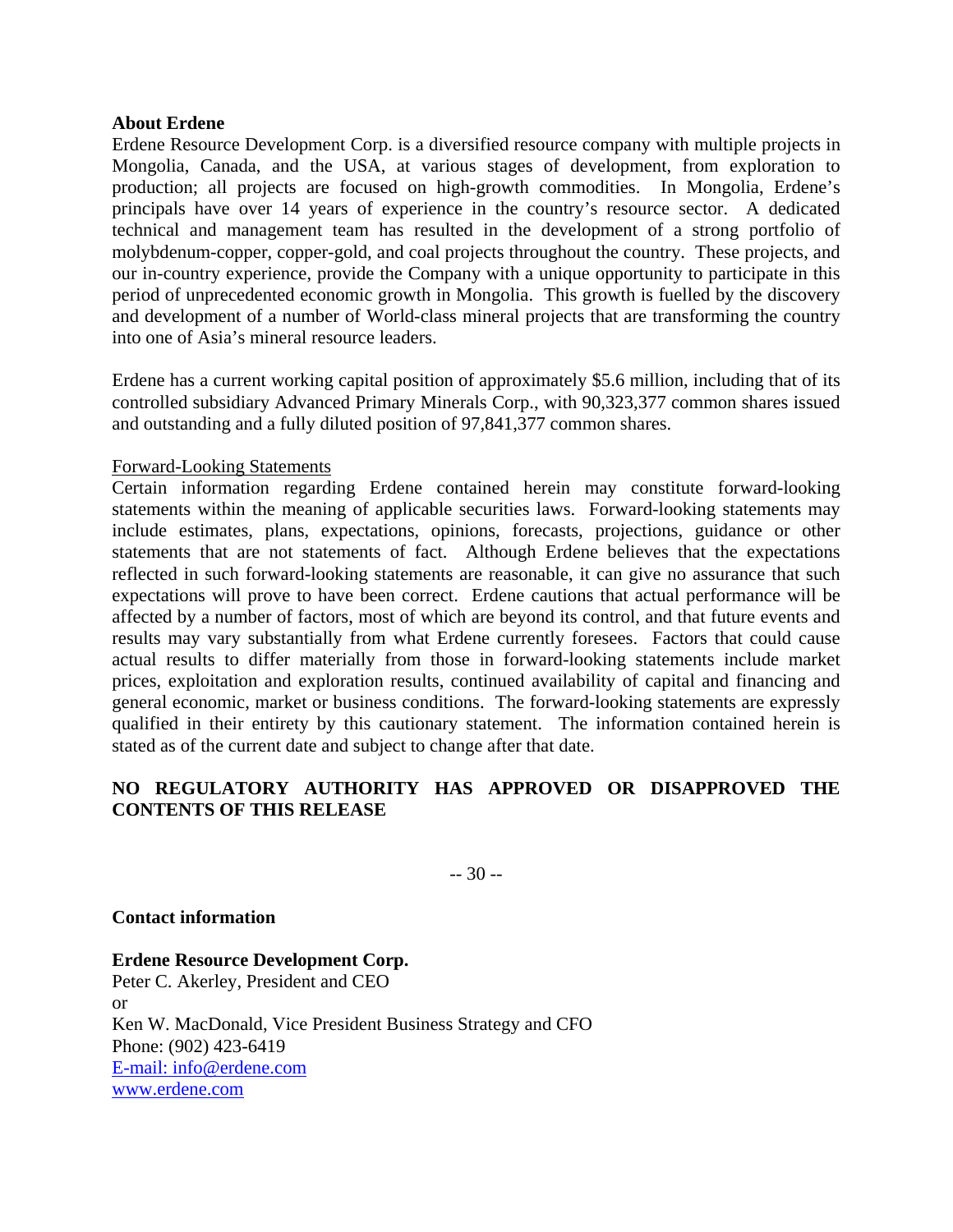#### **About Erdene**

Erdene Resource Development Corp. is a diversified resource company with multiple projects in Mongolia, Canada, and the USA, at various stages of development, from exploration to production; all projects are focused on high-growth commodities. In Mongolia, Erdene's principals have over 14 years of experience in the country's resource sector. A dedicated technical and management team has resulted in the development of a strong portfolio of molybdenum-copper, copper-gold, and coal projects throughout the country. These projects, and our in-country experience, provide the Company with a unique opportunity to participate in this period of unprecedented economic growth in Mongolia. This growth is fuelled by the discovery and development of a number of World-class mineral projects that are transforming the country into one of Asia's mineral resource leaders.

Erdene has a current working capital position of approximately \$5.6 million, including that of its controlled subsidiary Advanced Primary Minerals Corp., with 90,323,377 common shares issued and outstanding and a fully diluted position of 97,841,377 common shares.

### Forward-Looking Statements

Certain information regarding Erdene contained herein may constitute forward-looking statements within the meaning of applicable securities laws. Forward-looking statements may include estimates, plans, expectations, opinions, forecasts, projections, guidance or other statements that are not statements of fact. Although Erdene believes that the expectations reflected in such forward-looking statements are reasonable, it can give no assurance that such expectations will prove to have been correct. Erdene cautions that actual performance will be affected by a number of factors, most of which are beyond its control, and that future events and results may vary substantially from what Erdene currently foresees. Factors that could cause actual results to differ materially from those in forward-looking statements include market prices, exploitation and exploration results, continued availability of capital and financing and general economic, market or business conditions. The forward-looking statements are expressly qualified in their entirety by this cautionary statement. The information contained herein is stated as of the current date and subject to change after that date.

## **NO REGULATORY AUTHORITY HAS APPROVED OR DISAPPROVED THE CONTENTS OF THIS RELEASE**

-- 30 --

#### **Contact information**

**Erdene Resource Development Corp.**  Peter C. Akerley, President and CEO or Ken W. MacDonald, Vice President Business Strategy and CFO Phone: (902) 423-6419 E-mail: info@erdene.com www.erdene.com